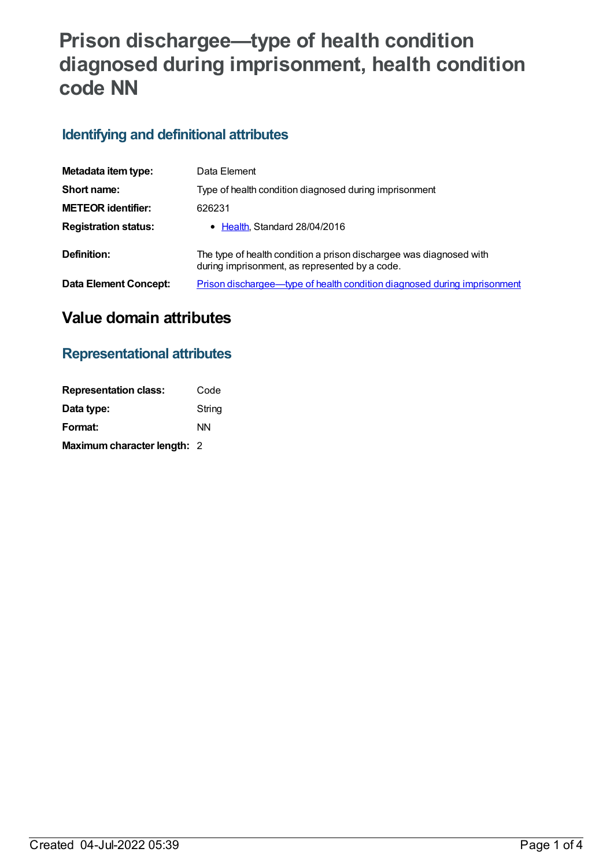# **Prison dischargee—type of health condition diagnosed during imprisonment, health condition code NN**

## **Identifying and definitional attributes**

| Metadata item type:         | Data Element                                                                                                          |
|-----------------------------|-----------------------------------------------------------------------------------------------------------------------|
| Short name:                 | Type of health condition diagnosed during imprisonment                                                                |
| <b>METEOR identifier:</b>   | 626231                                                                                                                |
| <b>Registration status:</b> | • Health, Standard 28/04/2016                                                                                         |
| Definition:                 | The type of health condition a prison dischargee was diagnosed with<br>during imprisonment, as represented by a code. |
| Data Element Concept:       | Prison dischargee—type of health condition diagnosed during imprisonment                                              |

## **Value domain attributes**

#### **Representational attributes**

| <b>Representation class:</b> | Code   |
|------------------------------|--------|
| Data type:                   | String |
| Format:                      | ΝN     |
| Maximum character length: 2  |        |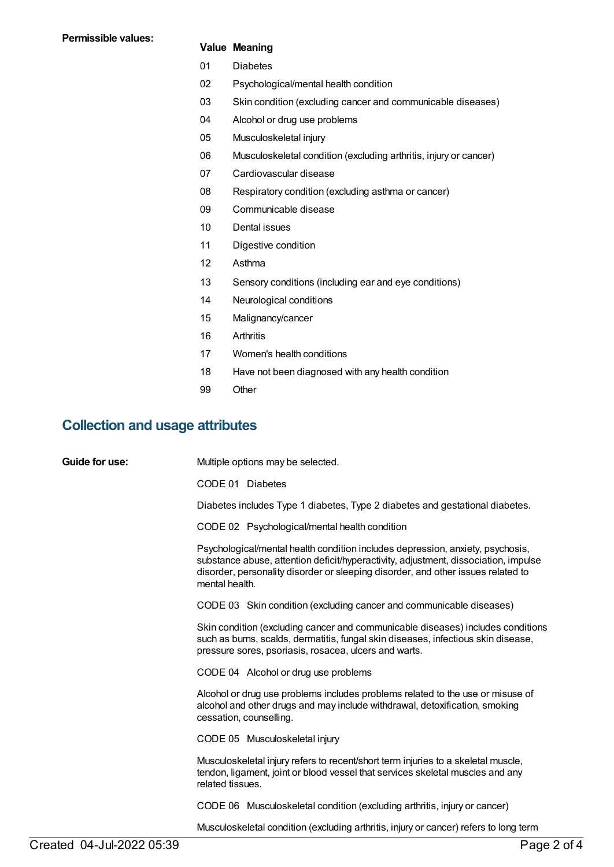#### **Value Meaning**

- 01 Diabetes
- 02 Psychological/mental health condition
- 03 Skin condition (excluding cancer and communicable diseases)
- 04 Alcohol or drug use problems
- 05 Musculoskeletal injury
- 06 Musculoskeletal condition (excluding arthritis, injury or cancer)
- 07 Cardiovascular disease
- 08 Respiratory condition (excluding asthma or cancer)
- 09 Communicable disease
- 10 Dental issues
- 11 Digestive condition
- 12 Asthma
- 13 Sensory conditions (including ear and eye conditions)
- 14 Neurological conditions
- 15 Malignancy/cancer
- 16 Arthritis
- 17 Women's health conditions
- 18 Have not been diagnosed with any health condition
- 99 Other

#### **Collection and usage attributes**

| Guide for use: | Multiple options may be selected.                                                                                                                                                                                                                                           |
|----------------|-----------------------------------------------------------------------------------------------------------------------------------------------------------------------------------------------------------------------------------------------------------------------------|
|                | CODE 01 Diabetes                                                                                                                                                                                                                                                            |
|                | Diabetes includes Type 1 diabetes, Type 2 diabetes and gestational diabetes.                                                                                                                                                                                                |
|                | CODE 02 Psychological/mental health condition                                                                                                                                                                                                                               |
|                | Psychological/mental health condition includes depression, anxiety, psychosis,<br>substance abuse, attention deficit/hyperactivity, adjustment, dissociation, impulse<br>disorder, personality disorder or sleeping disorder, and other issues related to<br>mental health. |
|                | CODE 03 Skin condition (excluding cancer and communicable diseases)                                                                                                                                                                                                         |
|                | Skin condition (excluding cancer and communicable diseases) includes conditions<br>such as burns, scalds, dermatitis, fungal skin diseases, infectious skin disease,<br>pressure sores, psoriasis, rosacea, ulcers and warts.                                               |
|                | CODE 04 Alcohol or drug use problems                                                                                                                                                                                                                                        |
|                | Alcohol or drug use problems includes problems related to the use or misuse of<br>alcohol and other drugs and may include withdrawal, detoxification, smoking<br>cessation, counselling.                                                                                    |
|                | CODE 05 Musculoskeletal injury                                                                                                                                                                                                                                              |
|                | Musculoskeletal injury refers to recent/short term injuries to a skeletal muscle,<br>tendon, ligament, joint or blood vessel that services skeletal muscles and any<br>related tissues.                                                                                     |
|                | CODE 06 Musculoskeletal condition (excluding arthritis, injury or cancer)                                                                                                                                                                                                   |
|                | Musculoskeletal condition (excluding arthritis, injury or cancer) refers to long term                                                                                                                                                                                       |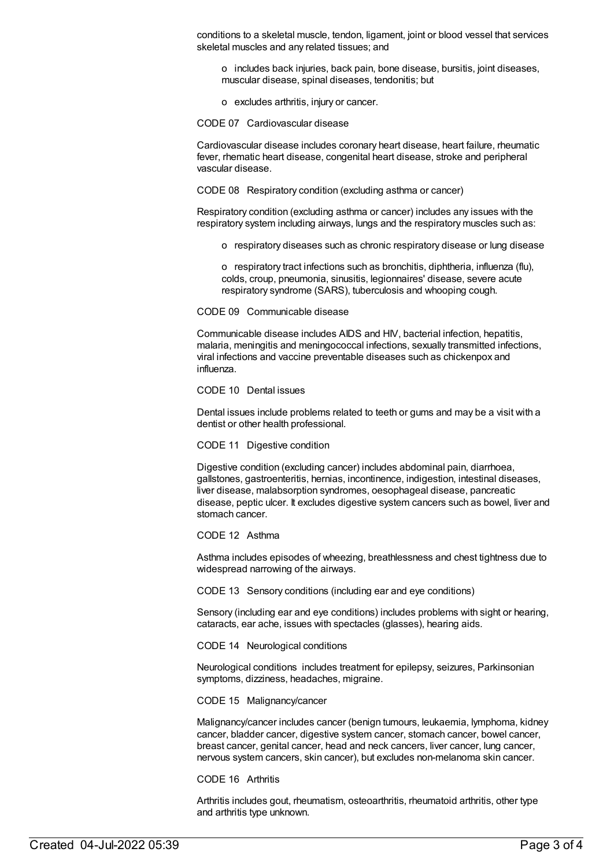conditions to a skeletal muscle, tendon, ligament, joint or blood vessel that services skeletal muscles and any related tissues; and

o includes back injuries, back pain, bone disease, bursitis, joint diseases, muscular disease, spinal diseases, tendonitis; but

o excludes arthritis, injury or cancer.

CODE 07 Cardiovascular disease

Cardiovascular disease includes coronary heart disease, heart failure, rheumatic fever, rhematic heart disease, congenital heart disease, stroke and peripheral vascular disease.

CODE 08 Respiratory condition (excluding asthma or cancer)

Respiratory condition (excluding asthma or cancer) includes any issues with the respiratory system including airways, lungs and the respiratory muscles such as:

o respiratory diseases such as chronic respiratory disease or lung disease

o respiratory tract infections such as bronchitis, diphtheria, influenza (flu), colds, croup, pneumonia, sinusitis, legionnaires' disease, severe acute respiratory syndrome (SARS), tuberculosis and whooping cough.

CODE 09 Communicable disease

Communicable disease includes AIDS and HIV, bacterial infection, hepatitis, malaria, meningitis and meningococcal infections, sexually transmitted infections, viral infections and vaccine preventable diseases such as chickenpox and influenza.

CODE 10 Dental issues

Dental issues include problems related to teeth or gums and may be a visit with a dentist or other health professional.

CODE 11 Digestive condition

Digestive condition (excluding cancer) includes abdominal pain, diarrhoea, gallstones, gastroenteritis, hernias, incontinence, indigestion, intestinal diseases, liver disease, malabsorption syndromes, oesophageal disease, pancreatic disease, peptic ulcer. It excludes digestive system cancers such as bowel, liver and stomach cancer.

#### CODE 12 Asthma

Asthma includes episodes of wheezing, breathlessness and chest tightness due to widespread narrowing of the airways.

CODE 13 Sensory conditions (including ear and eye conditions)

Sensory (including ear and eye conditions) includes problems with sight or hearing, cataracts, ear ache, issues with spectacles (glasses), hearing aids.

CODE 14 Neurological conditions

Neurological conditions includes treatment for epilepsy, seizures, Parkinsonian symptoms, dizziness, headaches, migraine.

CODE 15 Malignancy/cancer

Malignancy/cancer includes cancer (benign tumours, leukaemia, lymphoma, kidney cancer, bladder cancer, digestive system cancer, stomach cancer, bowel cancer, breast cancer, genital cancer, head and neck cancers, liver cancer, lung cancer, nervous system cancers, skin cancer), but excludes non-melanoma skin cancer.

CODE 16 Arthritis

Arthritis includes gout, rheumatism, osteoarthritis, rheumatoid arthritis, other type and arthritis type unknown.